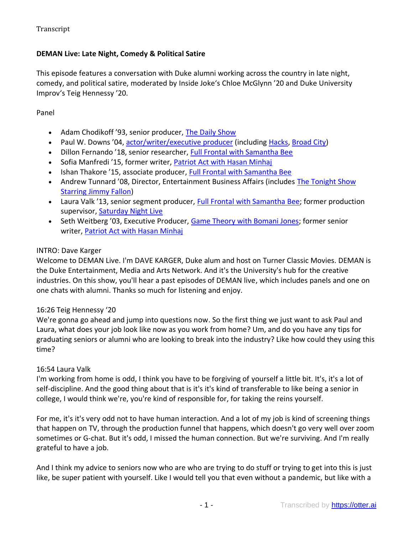# **DEMAN Live: Late Night, Comedy & Political Satire**

This episode features a conversation with Duke alumni working across the country in late night, comedy, and political satire, moderated by Inside Joke's Chloe McGlynn '20 and Duke University Improv's Teig Hennessy '20.

Panel

- Adam Chodikoff '93, senior producer, [The Daily Show](http://www.cc.com/shows/the-daily-show-with-trevor-noah)
- Paul W. Downs '04, [actor/writer/executive producer](https://www.imdb.com/name/nm3625953/) (including [Hacks,](https://www.imdb.com/title/tt11815682/) [Broad City\)](https://www.imdb.com/title/tt2578560/?ref_=nv_sr_srsg_0)
- Dillon Fernando '18, senior researcher, [Full Frontal with Samantha Bee](https://www.tbs.com/shows/full-frontal-with-samantha-bee)
- Sofia Manfredi '15, former writer, [Patriot Act with Hasan Minhaj](https://www.netflix.com/title/80239931)
- Ishan Thakore '15, associate producer, [Full Frontal with Samantha Bee](https://www.tbs.com/shows/full-frontal-with-samantha-bee)
- Andrew Tunnard '08, Director, Entertainment Business Affairs (includes The Tonight Show [Starring Jimmy Fallon\)](https://www.nbc.com/the-tonight-show)
- Laura Valk '13, senior segment producer, [Full Frontal with Samantha Bee;](https://www.tbs.com/shows/full-frontal-with-samantha-bee) former production supervisor, [Saturday Night Live](https://www.nbc.com/saturday-night-live)
- Seth Weitberg '03, Executive Producer, Game Theory [with Bomani Jones;](https://www.imdb.com/title/tt15575238/?ref_=fn_al_tt_1) former senior writer, [Patriot Act with Hasan Minhaj](https://www.netflix.com/title/80239931)

## INTRO: Dave Karger

Welcome to DEMAN Live. I'm DAVE KARGER, Duke alum and host on Turner Classic Movies. DEMAN is the Duke Entertainment, Media and Arts Network. And it's the University's hub for the creative industries. On this show, you'll hear a past episodes of DEMAN live, which includes panels and one on one chats with alumni. Thanks so much for listening and enjoy.

# 16:26 Teig Hennessy '20

We're gonna go ahead and jump into questions now. So the first thing we just want to ask Paul and Laura, what does your job look like now as you work from home? Um, and do you have any tips for graduating seniors or alumni who are looking to break into the industry? Like how could they using this time?

# 16:54 Laura Valk

I'm working from home is odd, I think you have to be forgiving of yourself a little bit. It's, it's a lot of self-discipline. And the good thing about that is it's it's kind of transferable to like being a senior in college, I would think we're, you're kind of responsible for, for taking the reins yourself.

For me, it's it's very odd not to have human interaction. And a lot of my job is kind of screening things that happen on TV, through the production funnel that happens, which doesn't go very well over zoom sometimes or G-chat. But it's odd, I missed the human connection. But we're surviving. And I'm really grateful to have a job.

And I think my advice to seniors now who are who are trying to do stuff or trying to get into this is just like, be super patient with yourself. Like I would tell you that even without a pandemic, but like with a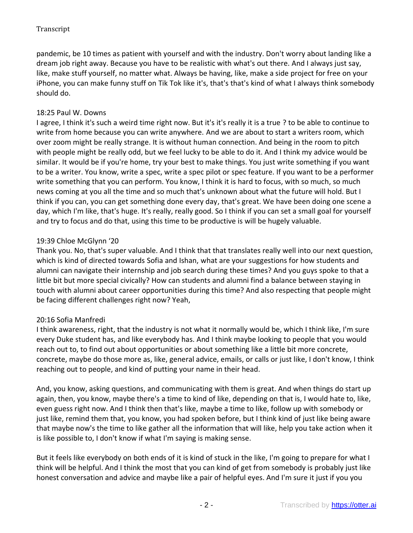pandemic, be 10 times as patient with yourself and with the industry. Don't worry about landing like a dream job right away. Because you have to be realistic with what's out there. And I always just say, like, make stuff yourself, no matter what. Always be having, like, make a side project for free on your iPhone, you can make funny stuff on Tik Tok like it's, that's that's kind of what I always think somebody should do.

# 18:25 Paul W. Downs

I agree, I think it's such a weird time right now. But it's it's really it is a true ? to be able to continue to write from home because you can write anywhere. And we are about to start a writers room, which over zoom might be really strange. It is without human connection. And being in the room to pitch with people might be really odd, but we feel lucky to be able to do it. And I think my advice would be similar. It would be if you're home, try your best to make things. You just write something if you want to be a writer. You know, write a spec, write a spec pilot or spec feature. If you want to be a performer write something that you can perform. You know, I think it is hard to focus, with so much, so much news coming at you all the time and so much that's unknown about what the future will hold. But I think if you can, you can get something done every day, that's great. We have been doing one scene a day, which I'm like, that's huge. It's really, really good. So I think if you can set a small goal for yourself and try to focus and do that, using this time to be productive is will be hugely valuable.

# 19:39 Chloe McGlynn '20

Thank you. No, that's super valuable. And I think that that translates really well into our next question, which is kind of directed towards Sofia and Ishan, what are your suggestions for how students and alumni can navigate their internship and job search during these times? And you guys spoke to that a little bit but more special civically? How can students and alumni find a balance between staying in touch with alumni about career opportunities during this time? And also respecting that people might be facing different challenges right now? Yeah,

# 20:16 Sofia Manfredi

I think awareness, right, that the industry is not what it normally would be, which I think like, I'm sure every Duke student has, and like everybody has. And I think maybe looking to people that you would reach out to, to find out about opportunities or about something like a little bit more concrete, concrete, maybe do those more as, like, general advice, emails, or calls or just like, I don't know, I think reaching out to people, and kind of putting your name in their head.

And, you know, asking questions, and communicating with them is great. And when things do start up again, then, you know, maybe there's a time to kind of like, depending on that is, I would hate to, like, even guess right now. And I think then that's like, maybe a time to like, follow up with somebody or just like, remind them that, you know, you had spoken before, but I think kind of just like being aware that maybe now's the time to like gather all the information that will like, help you take action when it is like possible to, I don't know if what I'm saying is making sense.

But it feels like everybody on both ends of it is kind of stuck in the like, I'm going to prepare for what I think will be helpful. And I think the most that you can kind of get from somebody is probably just like honest conversation and advice and maybe like a pair of helpful eyes. And I'm sure it just if you you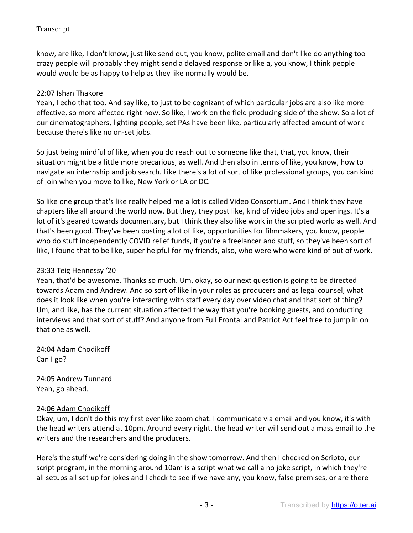know, are like, I don't know, just like send out, you know, polite email and don't like do anything too crazy people will probably they might send a delayed response or like a, you know, I think people would would be as happy to help as they like normally would be.

# 22:07 Ishan Thakore

Yeah, I echo that too. And say like, to just to be cognizant of which particular jobs are also like more effective, so more affected right now. So like, I work on the field producing side of the show. So a lot of our cinematographers, lighting people, set PAs have been like, particularly affected amount of work because there's like no on-set jobs.

So just being mindful of like, when you do reach out to someone like that, that, you know, their situation might be a little more precarious, as well. And then also in terms of like, you know, how to navigate an internship and job search. Like there's a lot of sort of like professional groups, you can kind of join when you move to like, New York or LA or DC.

So like one group that's like really helped me a lot is called Video Consortium. And I think they have chapters like all around the world now. But they, they post like, kind of video jobs and openings. It's a lot of it's geared towards documentary, but I think they also like work in the scripted world as well. And that's been good. They've been posting a lot of like, opportunities for filmmakers, you know, people who do stuff independently COVID relief funds, if you're a freelancer and stuff, so they've been sort of like, I found that to be like, super helpful for my friends, also, who were who were kind of out of work.

#### 23:33 Teig Hennessy '20

Yeah, that'd be awesome. Thanks so much. Um, okay, so our next question is going to be directed towards Adam and Andrew. And so sort of like in your roles as producers and as legal counsel, what does it look like when you're interacting with staff every day over video chat and that sort of thing? Um, and like, has the current situation affected the way that you're booking guests, and conducting interviews and that sort of stuff? And anyone from Full Frontal and Patriot Act feel free to jump in on that one as well.

24:04 Adam Chodikoff Can I go?

24:05 Andrew Tunnard Yeah, go ahead.

#### 24:06 Adam Chodikoff

Okay, um, I don't do this my first ever like zoom chat. I communicate via email and you know, it's with the head writers attend at 10pm. Around every night, the head writer will send out a mass email to the writers and the researchers and the producers.

Here's the stuff we're considering doing in the show tomorrow. And then I checked on Scripto, our script program, in the morning around 10am is a script what we call a no joke script, in which they're all setups all set up for jokes and I check to see if we have any, you know, false premises, or are there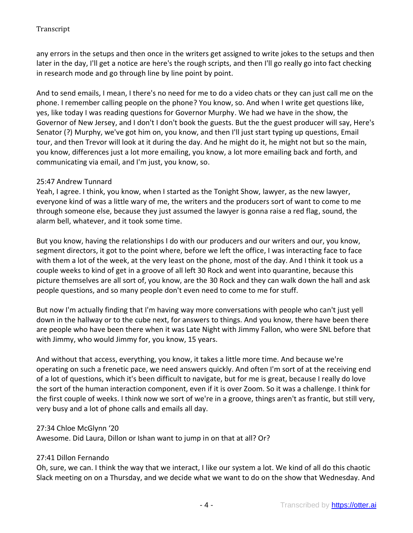any errors in the setups and then once in the writers get assigned to write jokes to the setups and then later in the day, I'll get a notice are here's the rough scripts, and then I'll go really go into fact checking in research mode and go through line by line point by point.

And to send emails, I mean, I there's no need for me to do a video chats or they can just call me on the phone. I remember calling people on the phone? You know, so. And when I write get questions like, yes, like today I was reading questions for Governor Murphy. We had we have in the show, the Governor of New Jersey, and I don't I don't book the guests. But the the guest producer will say, Here's Senator (?) Murphy, we've got him on, you know, and then I'll just start typing up questions, Email tour, and then Trevor will look at it during the day. And he might do it, he might not but so the main, you know, differences just a lot more emailing, you know, a lot more emailing back and forth, and communicating via email, and I'm just, you know, so.

## 25:47 Andrew Tunnard

Yeah, I agree. I think, you know, when I started as the Tonight Show, lawyer, as the new lawyer, everyone kind of was a little wary of me, the writers and the producers sort of want to come to me through someone else, because they just assumed the lawyer is gonna raise a red flag, sound, the alarm bell, whatever, and it took some time.

But you know, having the relationships I do with our producers and our writers and our, you know, segment directors, it got to the point where, before we left the office, I was interacting face to face with them a lot of the week, at the very least on the phone, most of the day. And I think it took us a couple weeks to kind of get in a groove of all left 30 Rock and went into quarantine, because this picture themselves are all sort of, you know, are the 30 Rock and they can walk down the hall and ask people questions, and so many people don't even need to come to me for stuff.

But now I'm actually finding that I'm having way more conversations with people who can't just yell down in the hallway or to the cube next, for answers to things. And you know, there have been there are people who have been there when it was Late Night with Jimmy Fallon, who were SNL before that with Jimmy, who would Jimmy for, you know, 15 years.

And without that access, everything, you know, it takes a little more time. And because we're operating on such a frenetic pace, we need answers quickly. And often I'm sort of at the receiving end of a lot of questions, which it's been difficult to navigate, but for me is great, because I really do love the sort of the human interaction component, even if it is over Zoom. So it was a challenge. I think for the first couple of weeks. I think now we sort of we're in a groove, things aren't as frantic, but still very, very busy and a lot of phone calls and emails all day.

#### 27:34 Chloe McGlynn '20

Awesome. Did Laura, Dillon or Ishan want to jump in on that at all? Or?

# 27:41 Dillon Fernando

Oh, sure, we can. I think the way that we interact, I like our system a lot. We kind of all do this chaotic Slack meeting on on a Thursday, and we decide what we want to do on the show that Wednesday. And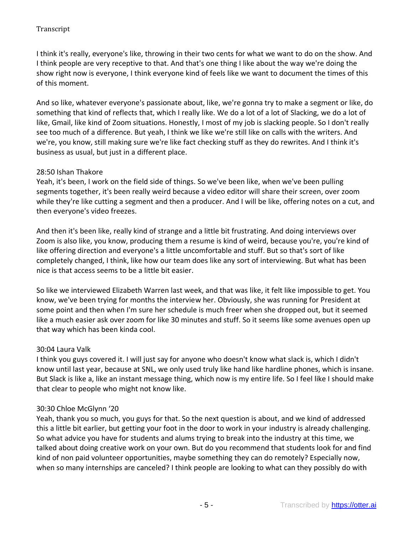I think it's really, everyone's like, throwing in their two cents for what we want to do on the show. And I think people are very receptive to that. And that's one thing I like about the way we're doing the show right now is everyone, I think everyone kind of feels like we want to document the times of this of this moment.

And so like, whatever everyone's passionate about, like, we're gonna try to make a segment or like, do something that kind of reflects that, which I really like. We do a lot of a lot of Slacking, we do a lot of like, Gmail, like kind of Zoom situations. Honestly, I most of my job is slacking people. So I don't really see too much of a difference. But yeah, I think we like we're still like on calls with the writers. And we're, you know, still making sure we're like fact checking stuff as they do rewrites. And I think it's business as usual, but just in a different place.

## 28:50 Ishan Thakore

Yeah, it's been, I work on the field side of things. So we've been like, when we've been pulling segments together, it's been really weird because a video editor will share their screen, over zoom while they're like cutting a segment and then a producer. And I will be like, offering notes on a cut, and then everyone's video freezes.

And then it's been like, really kind of strange and a little bit frustrating. And doing interviews over Zoom is also like, you know, producing them a resume is kind of weird, because you're, you're kind of like offering direction and everyone's a little uncomfortable and stuff. But so that's sort of like completely changed, I think, like how our team does like any sort of interviewing. But what has been nice is that access seems to be a little bit easier.

So like we interviewed Elizabeth Warren last week, and that was like, it felt like impossible to get. You know, we've been trying for months the interview her. Obviously, she was running for President at some point and then when I'm sure her schedule is much freer when she dropped out, but it seemed like a much easier ask over zoom for like 30 minutes and stuff. So it seems like some avenues open up that way which has been kinda cool.

#### 30:04 Laura Valk

I think you guys covered it. I will just say for anyone who doesn't know what slack is, which I didn't know until last year, because at SNL, we only used truly like hand like hardline phones, which is insane. But Slack is like a, like an instant message thing, which now is my entire life. So I feel like I should make that clear to people who might not know like.

# 30:30 Chloe McGlynn '20

Yeah, thank you so much, you guys for that. So the next question is about, and we kind of addressed this a little bit earlier, but getting your foot in the door to work in your industry is already challenging. So what advice you have for students and alums trying to break into the industry at this time, we talked about doing creative work on your own. But do you recommend that students look for and find kind of non paid volunteer opportunities, maybe something they can do remotely? Especially now, when so many internships are canceled? I think people are looking to what can they possibly do with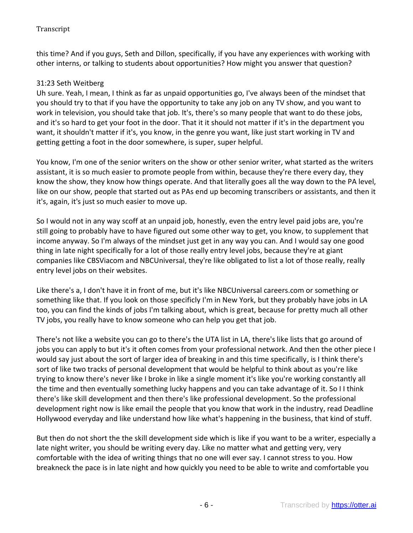this time? And if you guys, Seth and Dillon, specifically, if you have any experiences with working with other interns, or talking to students about opportunities? How might you answer that question?

# 31:23 Seth Weitberg

Uh sure. Yeah, I mean, I think as far as unpaid opportunities go, I've always been of the mindset that you should try to that if you have the opportunity to take any job on any TV show, and you want to work in television, you should take that job. It's, there's so many people that want to do these jobs, and it's so hard to get your foot in the door. That it it should not matter if it's in the department you want, it shouldn't matter if it's, you know, in the genre you want, like just start working in TV and getting getting a foot in the door somewhere, is super, super helpful.

You know, I'm one of the senior writers on the show or other senior writer, what started as the writers assistant, it is so much easier to promote people from within, because they're there every day, they know the show, they know how things operate. And that literally goes all the way down to the PA level, like on our show, people that started out as PAs end up becoming transcribers or assistants, and then it it's, again, it's just so much easier to move up.

So I would not in any way scoff at an unpaid job, honestly, even the entry level paid jobs are, you're still going to probably have to have figured out some other way to get, you know, to supplement that income anyway. So I'm always of the mindset just get in any way you can. And I would say one good thing in late night specifically for a lot of those really entry level jobs, because they're at giant companies like CBSViacom and NBCUniversal, they're like obligated to list a lot of those really, really entry level jobs on their websites.

Like there's a, I don't have it in front of me, but it's like NBCUniversal careers.com or something or something like that. If you look on those specificly I'm in New York, but they probably have jobs in LA too, you can find the kinds of jobs I'm talking about, which is great, because for pretty much all other TV jobs, you really have to know someone who can help you get that job.

There's not like a website you can go to there's the UTA list in LA, there's like lists that go around of jobs you can apply to but it's it often comes from your professional network. And then the other piece I would say just about the sort of larger idea of breaking in and this time specifically, is I think there's sort of like two tracks of personal development that would be helpful to think about as you're like trying to know there's never like I broke in like a single moment it's like you're working constantly all the time and then eventually something lucky happens and you can take advantage of it. So I I think there's like skill development and then there's like professional development. So the professional development right now is like email the people that you know that work in the industry, read Deadline Hollywood everyday and like understand how like what's happening in the business, that kind of stuff.

But then do not short the the skill development side which is like if you want to be a writer, especially a late night writer, you should be writing every day. Like no matter what and getting very, very comfortable with the idea of writing things that no one will ever say. I cannot stress to you. How breakneck the pace is in late night and how quickly you need to be able to write and comfortable you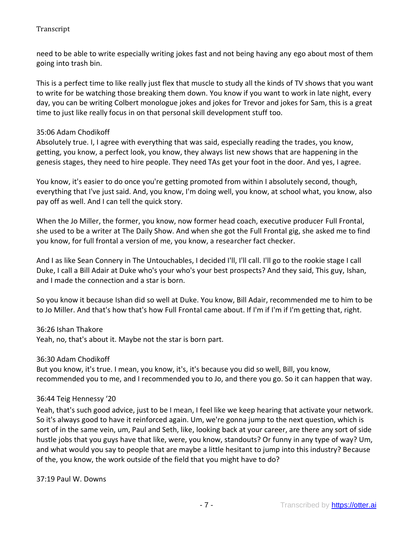need to be able to write especially writing jokes fast and not being having any ego about most of them going into trash bin.

This is a perfect time to like really just flex that muscle to study all the kinds of TV shows that you want to write for be watching those breaking them down. You know if you want to work in late night, every day, you can be writing Colbert monologue jokes and jokes for Trevor and jokes for Sam, this is a great time to just like really focus in on that personal skill development stuff too.

# 35:06 Adam Chodikoff

Absolutely true. I, I agree with everything that was said, especially reading the trades, you know, getting, you know, a perfect look, you know, they always list new shows that are happening in the genesis stages, they need to hire people. They need TAs get your foot in the door. And yes, I agree.

You know, it's easier to do once you're getting promoted from within I absolutely second, though, everything that I've just said. And, you know, I'm doing well, you know, at school what, you know, also pay off as well. And I can tell the quick story.

When the Jo Miller, the former, you know, now former head coach, executive producer Full Frontal, she used to be a writer at The Daily Show. And when she got the Full Frontal gig, she asked me to find you know, for full frontal a version of me, you know, a researcher fact checker.

And I as like Sean Connery in The Untouchables, I decided I'll, I'll call. I'll go to the rookie stage I call Duke, I call a Bill Adair at Duke who's your who's your best prospects? And they said, This guy, Ishan, and I made the connection and a star is born.

So you know it because Ishan did so well at Duke. You know, Bill Adair, recommended me to him to be to Jo Miller. And that's how that's how Full Frontal came about. If I'm if I'm if I'm getting that, right.

#### 36:26 Ishan Thakore

Yeah, no, that's about it. Maybe not the star is born part.

#### 36:30 Adam Chodikoff

But you know, it's true. I mean, you know, it's, it's because you did so well, Bill, you know, recommended you to me, and I recommended you to Jo, and there you go. So it can happen that way.

#### 36:44 Teig Hennessy '20

Yeah, that's such good advice, just to be I mean, I feel like we keep hearing that activate your network. So it's always good to have it reinforced again. Um, we're gonna jump to the next question, which is sort of in the same vein, um, Paul and Seth, like, looking back at your career, are there any sort of side hustle jobs that you guys have that like, were, you know, standouts? Or funny in any type of way? Um, and what would you say to people that are maybe a little hesitant to jump into this industry? Because of the, you know, the work outside of the field that you might have to do?

37:19 Paul W. Downs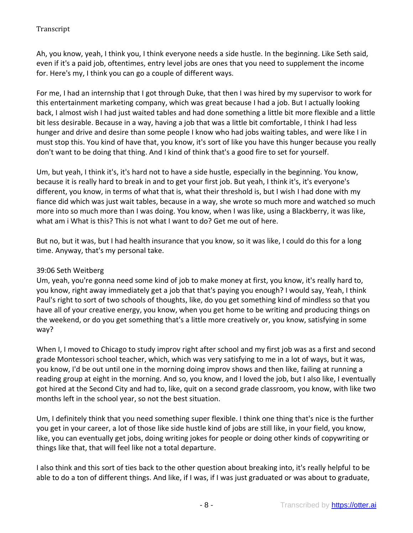Ah, you know, yeah, I think you, I think everyone needs a side hustle. In the beginning. Like Seth said, even if it's a paid job, oftentimes, entry level jobs are ones that you need to supplement the income for. Here's my, I think you can go a couple of different ways.

For me, I had an internship that I got through Duke, that then I was hired by my supervisor to work for this entertainment marketing company, which was great because I had a job. But I actually looking back, I almost wish I had just waited tables and had done something a little bit more flexible and a little bit less desirable. Because in a way, having a job that was a little bit comfortable, I think I had less hunger and drive and desire than some people I know who had jobs waiting tables, and were like I in must stop this. You kind of have that, you know, it's sort of like you have this hunger because you really don't want to be doing that thing. And I kind of think that's a good fire to set for yourself.

Um, but yeah, I think it's, it's hard not to have a side hustle, especially in the beginning. You know, because it is really hard to break in and to get your first job. But yeah, I think it's, it's everyone's different, you know, in terms of what that is, what their threshold is, but I wish I had done with my fiance did which was just wait tables, because in a way, she wrote so much more and watched so much more into so much more than I was doing. You know, when I was like, using a Blackberry, it was like, what am i What is this? This is not what I want to do? Get me out of here.

But no, but it was, but I had health insurance that you know, so it was like, I could do this for a long time. Anyway, that's my personal take.

# 39:06 Seth Weitberg

Um, yeah, you're gonna need some kind of job to make money at first, you know, it's really hard to, you know, right away immediately get a job that that's paying you enough? I would say, Yeah, I think Paul's right to sort of two schools of thoughts, like, do you get something kind of mindless so that you have all of your creative energy, you know, when you get home to be writing and producing things on the weekend, or do you get something that's a little more creatively or, you know, satisfying in some way?

When I, I moved to Chicago to study improv right after school and my first job was as a first and second grade Montessori school teacher, which, which was very satisfying to me in a lot of ways, but it was, you know, I'd be out until one in the morning doing improv shows and then like, failing at running a reading group at eight in the morning. And so, you know, and I loved the job, but I also like, I eventually got hired at the Second City and had to, like, quit on a second grade classroom, you know, with like two months left in the school year, so not the best situation.

Um, I definitely think that you need something super flexible. I think one thing that's nice is the further you get in your career, a lot of those like side hustle kind of jobs are still like, in your field, you know, like, you can eventually get jobs, doing writing jokes for people or doing other kinds of copywriting or things like that, that will feel like not a total departure.

I also think and this sort of ties back to the other question about breaking into, it's really helpful to be able to do a ton of different things. And like, if I was, if I was just graduated or was about to graduate,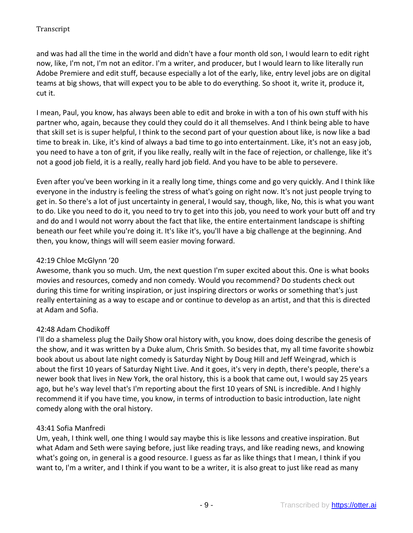and was had all the time in the world and didn't have a four month old son, I would learn to edit right now, like, I'm not, I'm not an editor. I'm a writer, and producer, but I would learn to like literally run Adobe Premiere and edit stuff, because especially a lot of the early, like, entry level jobs are on digital teams at big shows, that will expect you to be able to do everything. So shoot it, write it, produce it, cut it.

I mean, Paul, you know, has always been able to edit and broke in with a ton of his own stuff with his partner who, again, because they could they could do it all themselves. And I think being able to have that skill set is is super helpful, I think to the second part of your question about like, is now like a bad time to break in. Like, it's kind of always a bad time to go into entertainment. Like, it's not an easy job, you need to have a ton of grit, if you like really, really wilt in the face of rejection, or challenge, like it's not a good job field, it is a really, really hard job field. And you have to be able to persevere.

Even after you've been working in it a really long time, things come and go very quickly. And I think like everyone in the industry is feeling the stress of what's going on right now. It's not just people trying to get in. So there's a lot of just uncertainty in general, I would say, though, like, No, this is what you want to do. Like you need to do it, you need to try to get into this job, you need to work your butt off and try and do and I would not worry about the fact that like, the entire entertainment landscape is shifting beneath our feet while you're doing it. It's like it's, you'll have a big challenge at the beginning. And then, you know, things will will seem easier moving forward.

# 42:19 Chloe McGlynn '20

Awesome, thank you so much. Um, the next question I'm super excited about this. One is what books movies and resources, comedy and non comedy. Would you recommend? Do students check out during this time for writing inspiration, or just inspiring directors or works or something that's just really entertaining as a way to escape and or continue to develop as an artist, and that this is directed at Adam and Sofia.

# 42:48 Adam Chodikoff

I'll do a shameless plug the Daily Show oral history with, you know, does doing describe the genesis of the show, and it was written by a Duke alum, Chris Smith. So besides that, my all time favorite showbiz book about us about late night comedy is Saturday Night by Doug Hill and Jeff Weingrad, which is about the first 10 years of Saturday Night Live. And it goes, it's very in depth, there's people, there's a newer book that lives in New York, the oral history, this is a book that came out, I would say 25 years ago, but he's way level that's I'm reporting about the first 10 years of SNL is incredible. And I highly recommend it if you have time, you know, in terms of introduction to basic introduction, late night comedy along with the oral history.

# 43:41 Sofia Manfredi

Um, yeah, I think well, one thing I would say maybe this is like lessons and creative inspiration. But what Adam and Seth were saying before, just like reading trays, and like reading news, and knowing what's going on, in general is a good resource. I guess as far as like things that I mean, I think if you want to, I'm a writer, and I think if you want to be a writer, it is also great to just like read as many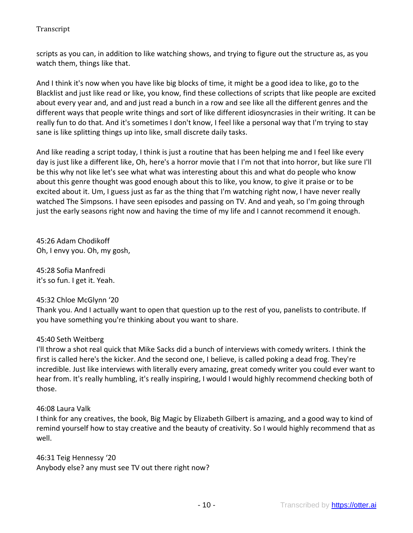scripts as you can, in addition to like watching shows, and trying to figure out the structure as, as you watch them, things like that.

And I think it's now when you have like big blocks of time, it might be a good idea to like, go to the Blacklist and just like read or like, you know, find these collections of scripts that like people are excited about every year and, and and just read a bunch in a row and see like all the different genres and the different ways that people write things and sort of like different idiosyncrasies in their writing. It can be really fun to do that. And it's sometimes I don't know, I feel like a personal way that I'm trying to stay sane is like splitting things up into like, small discrete daily tasks.

And like reading a script today, I think is just a routine that has been helping me and I feel like every day is just like a different like, Oh, here's a horror movie that I I'm not that into horror, but like sure I'll be this why not like let's see what what was interesting about this and what do people who know about this genre thought was good enough about this to like, you know, to give it praise or to be excited about it. Um, I guess just as far as the thing that I'm watching right now, I have never really watched The Simpsons. I have seen episodes and passing on TV. And and yeah, so I'm going through just the early seasons right now and having the time of my life and I cannot recommend it enough.

45:26 Adam Chodikoff Oh, I envy you. Oh, my gosh,

45:28 Sofia Manfredi it's so fun. I get it. Yeah.

# 45:32 Chloe McGlynn '20

Thank you. And I actually want to open that question up to the rest of you, panelists to contribute. If you have something you're thinking about you want to share.

# 45:40 Seth Weitberg

I'll throw a shot real quick that Mike Sacks did a bunch of interviews with comedy writers. I think the first is called here's the kicker. And the second one, I believe, is called poking a dead frog. They're incredible. Just like interviews with literally every amazing, great comedy writer you could ever want to hear from. It's really humbling, it's really inspiring, I would I would highly recommend checking both of those.

#### 46:08 Laura Valk

I think for any creatives, the book, Big Magic by Elizabeth Gilbert is amazing, and a good way to kind of remind yourself how to stay creative and the beauty of creativity. So I would highly recommend that as well.

46:31 Teig Hennessy '20 Anybody else? any must see TV out there right now?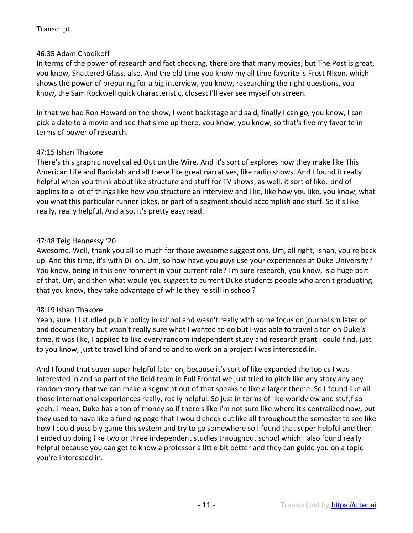# 46:35 Adam Chodikoff

In terms of the power of research and fact checking, there are that many movies, but The Post is great, you know, Shattered Glass, also. And the old time you know my all time favorite is Frost Nixon, which shows the power of preparing for a big interview, you know, researching the right questions, you know, the Sam Rockwell quick characteristic, closest I'll ever see myself on screen.

In that we had Ron Howard on the show, I went backstage and said, finally I can go, you know, I can pick a date to a movie and see that's me up there, you know, you know, so that's five my favorite in terms of power of research.

#### 47:15 Ishan Thakore

There's this graphic novel called Out on the Wire. And it's sort of explores how they make like This American Life and Radiolab and all these like great narratives, like radio shows. And I found it really helpful when you think about like structure and stuff for TV shows, as well, it sort of like, kind of applies to a lot of things like how you structure an interview and like, like how you like, you know, what you what this particular runner jokes, or part of a segment should accomplish and stuff. So it's like really, really helpful. And also, it's pretty easy read.

## 47:48 Teig Hennessy '20

Awesome. Well, thank you all so much for those awesome suggestions. Um, all right, Ishan, you're back up. And this time, it's with Dillon. Um, so how have you guys use your experiences at Duke University? You know, being in this environment in your current role? I'm sure research, you know, is a huge part of that. Um, and then what would you suggest to current Duke students people who aren't graduating that you know, they take advantage of while they're still in school?

#### 48:19 Ishan Thakore

Yeah, sure. I I studied public policy in school and wasn't really with some focus on journalism later on and documentary but wasn't really sure what I wanted to do but I was able to travel a ton on Duke's time, it was like, I applied to like every random independent study and research grant I could find, just to you know, just to travel kind of and to and to work on a project I was interested in.

And I found that super super helpful later on, because it's sort of like expanded the topics I was interested in and so part of the field team in Full Frontal we just tried to pitch like any story any any random story that we can make a segment out of that speaks to like a larger theme. So I found like all those international experiences really, really helpful. So just in terms of like worldview and stuf,f so yeah, I mean, Duke has a ton of money so if there's like I'm not sure like where it's centralized now, but they used to have like a funding page that I would check out like all throughout the semester to see like how I could possibly game this system and try to go somewhere so I found that super helpful and then I ended up doing like two or three independent studies throughout school which I also found really helpful because you can get to know a professor a little bit better and they can guide you on a topic you're interested in.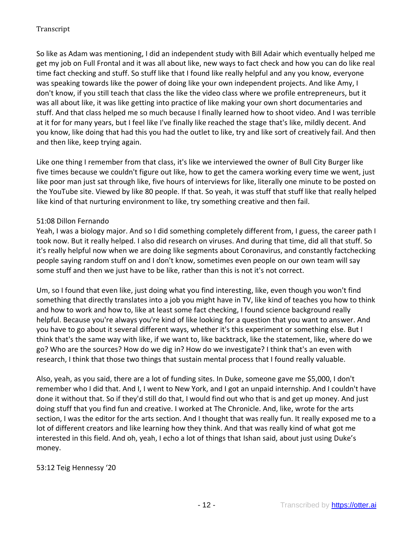So like as Adam was mentioning, I did an independent study with Bill Adair which eventually helped me get my job on Full Frontal and it was all about like, new ways to fact check and how you can do like real time fact checking and stuff. So stuff like that I found like really helpful and any you know, everyone was speaking towards like the power of doing like your own independent projects. And like Amy, I don't know, if you still teach that class the like the video class where we profile entrepreneurs, but it was all about like, it was like getting into practice of like making your own short documentaries and stuff. And that class helped me so much because I finally learned how to shoot video. And I was terrible at it for for many years, but I feel like I've finally like reached the stage that's like, mildly decent. And you know, like doing that had this you had the outlet to like, try and like sort of creatively fail. And then and then like, keep trying again.

Like one thing I remember from that class, it's like we interviewed the owner of Bull City Burger like five times because we couldn't figure out like, how to get the camera working every time we went, just like poor man just sat through like, five hours of interviews for like, literally one minute to be posted on the YouTube site. Viewed by like 80 people. If that. So yeah, it was stuff that stuff like that really helped like kind of that nurturing environment to like, try something creative and then fail.

# 51:08 Dillon Fernando

Yeah, I was a biology major. And so I did something completely different from, I guess, the career path I took now. But it really helped. I also did research on viruses. And during that time, did all that stuff. So it's really helpful now when we are doing like segments about Coronavirus, and constantly factchecking people saying random stuff on and I don't know, sometimes even people on our own team will say some stuff and then we just have to be like, rather than this is not it's not correct.

Um, so I found that even like, just doing what you find interesting, like, even though you won't find something that directly translates into a job you might have in TV, like kind of teaches you how to think and how to work and how to, like at least some fact checking, I found science background really helpful. Because you're always you're kind of like looking for a question that you want to answer. And you have to go about it several different ways, whether it's this experiment or something else. But I think that's the same way with like, if we want to, like backtrack, like the statement, like, where do we go? Who are the sources? How do we dig in? How do we investigate? I think that's an even with research, I think that those two things that sustain mental process that I found really valuable.

Also, yeah, as you said, there are a lot of funding sites. In Duke, someone gave me \$5,000, I don't remember who I did that. And I, I went to New York, and I got an unpaid internship. And I couldn't have done it without that. So if they'd still do that, I would find out who that is and get up money. And just doing stuff that you find fun and creative. I worked at The Chronicle. And, like, wrote for the arts section, I was the editor for the arts section. And I thought that was really fun. It really exposed me to a lot of different creators and like learning how they think. And that was really kind of what got me interested in this field. And oh, yeah, I echo a lot of things that Ishan said, about just using Duke's money.

#### 53:12 Teig Hennessy '20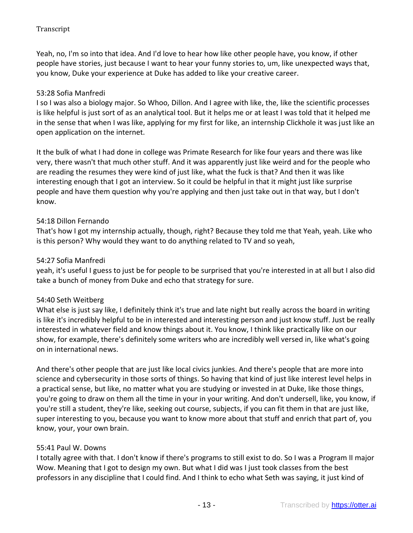Yeah, no, I'm so into that idea. And I'd love to hear how like other people have, you know, if other people have stories, just because I want to hear your funny stories to, um, like unexpected ways that, you know, Duke your experience at Duke has added to like your creative career.

## 53:28 Sofia Manfredi

I so I was also a biology major. So Whoo, Dillon. And I agree with like, the, like the scientific processes is like helpful is just sort of as an analytical tool. But it helps me or at least I was told that it helped me in the sense that when I was like, applying for my first for like, an internship Clickhole it was just like an open application on the internet.

It the bulk of what I had done in college was Primate Research for like four years and there was like very, there wasn't that much other stuff. And it was apparently just like weird and for the people who are reading the resumes they were kind of just like, what the fuck is that? And then it was like interesting enough that I got an interview. So it could be helpful in that it might just like surprise people and have them question why you're applying and then just take out in that way, but I don't know.

## 54:18 Dillon Fernando

That's how I got my internship actually, though, right? Because they told me that Yeah, yeah. Like who is this person? Why would they want to do anything related to TV and so yeah,

#### 54:27 Sofia Manfredi

yeah, it's useful I guess to just be for people to be surprised that you're interested in at all but I also did take a bunch of money from Duke and echo that strategy for sure.

#### 54:40 Seth Weitberg

What else is just say like, I definitely think it's true and late night but really across the board in writing is like it's incredibly helpful to be in interested and interesting person and just know stuff. Just be really interested in whatever field and know things about it. You know, I think like practically like on our show, for example, there's definitely some writers who are incredibly well versed in, like what's going on in international news.

And there's other people that are just like local civics junkies. And there's people that are more into science and cybersecurity in those sorts of things. So having that kind of just like interest level helps in a practical sense, but like, no matter what you are studying or invested in at Duke, like those things, you're going to draw on them all the time in your in your writing. And don't undersell, like, you know, if you're still a student, they're like, seeking out course, subjects, if you can fit them in that are just like, super interesting to you, because you want to know more about that stuff and enrich that part of, you know, your, your own brain.

#### 55:41 Paul W. Downs

I totally agree with that. I don't know if there's programs to still exist to do. So I was a Program II major Wow. Meaning that I got to design my own. But what I did was I just took classes from the best professors in any discipline that I could find. And I think to echo what Seth was saying, it just kind of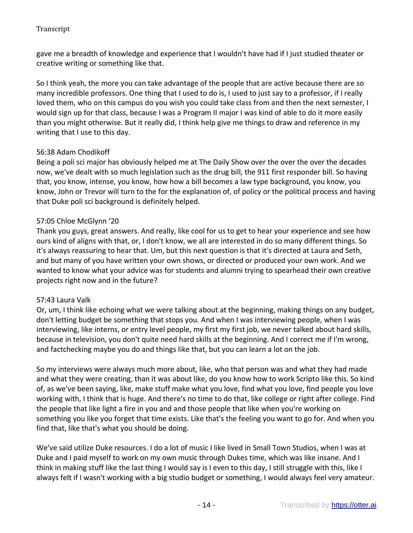gave me a breadth of knowledge and experience that I wouldn't have had if I just studied theater or creative writing or something like that.

So I think yeah, the more you can take advantage of the people that are active because there are so many incredible professors. One thing that I used to do is, I used to just say to a professor, if I really loved them, who on this campus do you wish you could take class from and then the next semester, I would sign up for that class, because I was a Program II major I was kind of able to do it more easily than you might otherwise. But it really did, I think help give me things to draw and reference in my writing that I use to this day.

# 56:38 Adam Chodikoff

Being a poli sci major has obviously helped me at The Daily Show over the over the over the decades now, we've dealt with so much legislation such as the drug bill, the 911 first responder bill. So having that, you know, intense, you know, how how a bill becomes a law type background, you know, you know, John or Trevor will turn to the for the explanation of, of policy or the political process and having that Duke poli sci background is definitely helped.

## 57:05 Chloe McGlynn '20

Thank you guys, great answers. And really, like cool for us to get to hear your experience and see how ours kind of aligns with that, or, I don't know, we all are interested in do so many different things. So it's always reassuring to hear that. Um, but this next question is that it's directed at Laura and Seth, and but many of you have written your own shows, or directed or produced your own work. And we wanted to know what your advice was for students and alumni trying to spearhead their own creative projects right now and in the future?

# 57:43 Laura Valk

Or, um, I think like echoing what we were talking about at the beginning, making things on any budget, don't letting budget be something that stops you. And when I was interviewing people, when I was interviewing, like interns, or entry level people, my first my first job, we never talked about hard skills, because in television, you don't quite need hard skills at the beginning. And I correct me if I'm wrong, and factchecking maybe you do and things like that, but you can learn a lot on the job.

So my interviews were always much more about, like, who that person was and what they had made and what they were creating, than it was about like, do you know how to work Scripto like this. So kind of, as we've been saying, like, make stuff make what you love, find what you love, find people you love working with, I think that is huge. And there's no time to do that, like college or right after college. Find the people that like light a fire in you and and those people that like when you're working on something you like you forget that time exists. Like that's the feeling you want to go for. And when you find that, like that's what you should be doing.

We've said utilize Duke resources. I do a lot of music I like lived in Small Town Studios, when I was at Duke and I paid myself to work on my own music through Dukes time, which was like insane. And I think in making stuff like the last thing I would say is I even to this day, I still struggle with this, like I always felt if I wasn't working with a big studio budget or something, I would always feel very amateur.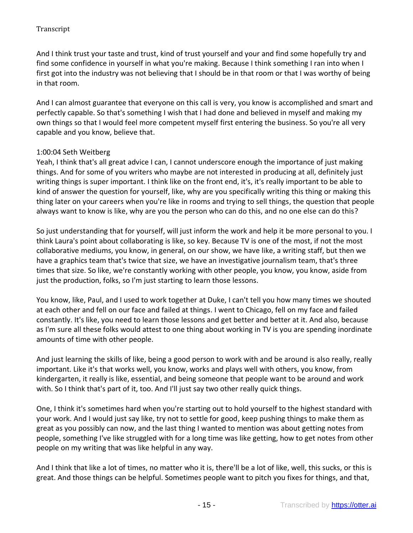And I think trust your taste and trust, kind of trust yourself and your and find some hopefully try and find some confidence in yourself in what you're making. Because I think something I ran into when I first got into the industry was not believing that I should be in that room or that I was worthy of being in that room.

And I can almost guarantee that everyone on this call is very, you know is accomplished and smart and perfectly capable. So that's something I wish that I had done and believed in myself and making my own things so that I would feel more competent myself first entering the business. So you're all very capable and you know, believe that.

## 1:00:04 Seth Weitberg

Yeah, I think that's all great advice I can, I cannot underscore enough the importance of just making things. And for some of you writers who maybe are not interested in producing at all, definitely just writing things is super important. I think like on the front end, it's, it's really important to be able to kind of answer the question for yourself, like, why are you specifically writing this thing or making this thing later on your careers when you're like in rooms and trying to sell things, the question that people always want to know is like, why are you the person who can do this, and no one else can do this?

So just understanding that for yourself, will just inform the work and help it be more personal to you. I think Laura's point about collaborating is like, so key. Because TV is one of the most, if not the most collaborative mediums, you know, in general, on our show, we have like, a writing staff, but then we have a graphics team that's twice that size, we have an investigative journalism team, that's three times that size. So like, we're constantly working with other people, you know, you know, aside from just the production, folks, so I'm just starting to learn those lessons.

You know, like, Paul, and I used to work together at Duke, I can't tell you how many times we shouted at each other and fell on our face and failed at things. I went to Chicago, fell on my face and failed constantly. It's like, you need to learn those lessons and get better and better at it. And also, because as I'm sure all these folks would attest to one thing about working in TV is you are spending inordinate amounts of time with other people.

And just learning the skills of like, being a good person to work with and be around is also really, really important. Like it's that works well, you know, works and plays well with others, you know, from kindergarten, it really is like, essential, and being someone that people want to be around and work with. So I think that's part of it, too. And I'll just say two other really quick things.

One, I think it's sometimes hard when you're starting out to hold yourself to the highest standard with your work. And I would just say like, try not to settle for good, keep pushing things to make them as great as you possibly can now, and the last thing I wanted to mention was about getting notes from people, something I've like struggled with for a long time was like getting, how to get notes from other people on my writing that was like helpful in any way.

And I think that like a lot of times, no matter who it is, there'll be a lot of like, well, this sucks, or this is great. And those things can be helpful. Sometimes people want to pitch you fixes for things, and that,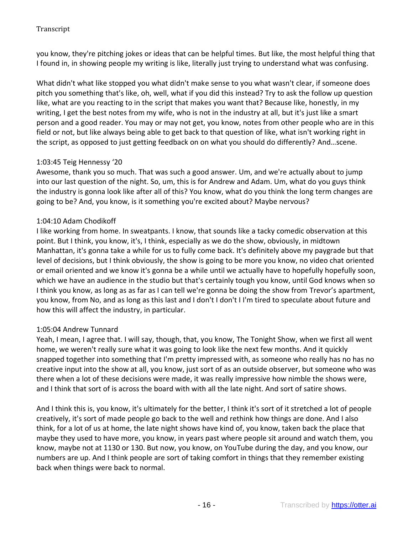you know, they're pitching jokes or ideas that can be helpful times. But like, the most helpful thing that I found in, in showing people my writing is like, literally just trying to understand what was confusing.

What didn't what like stopped you what didn't make sense to you what wasn't clear, if someone does pitch you something that's like, oh, well, what if you did this instead? Try to ask the follow up question like, what are you reacting to in the script that makes you want that? Because like, honestly, in my writing, I get the best notes from my wife, who is not in the industry at all, but it's just like a smart person and a good reader. You may or may not get, you know, notes from other people who are in this field or not, but like always being able to get back to that question of like, what isn't working right in the script, as opposed to just getting feedback on on what you should do differently? And…scene.

# 1:03:45 Teig Hennessy '20

Awesome, thank you so much. That was such a good answer. Um, and we're actually about to jump into our last question of the night. So, um, this is for Andrew and Adam. Um, what do you guys think the industry is gonna look like after all of this? You know, what do you think the long term changes are going to be? And, you know, is it something you're excited about? Maybe nervous?

# 1:04:10 Adam Chodikoff

I like working from home. In sweatpants. I know, that sounds like a tacky comedic observation at this point. But I think, you know, it's, I think, especially as we do the show, obviously, in midtown Manhattan, it's gonna take a while for us to fully come back. It's definitely above my paygrade but that level of decisions, but I think obviously, the show is going to be more you know, no video chat oriented or email oriented and we know it's gonna be a while until we actually have to hopefully hopefully soon, which we have an audience in the studio but that's certainly tough you know, until God knows when so I think you know, as long as as far as I can tell we're gonna be doing the show from Trevor's apartment, you know, from No, and as long as this last and I don't I don't I I'm tired to speculate about future and how this will affect the industry, in particular.

#### 1:05:04 Andrew Tunnard

Yeah, I mean, I agree that. I will say, though, that, you know, The Tonight Show, when we first all went home, we weren't really sure what it was going to look like the next few months. And it quickly snapped together into something that I'm pretty impressed with, as someone who really has no has no creative input into the show at all, you know, just sort of as an outside observer, but someone who was there when a lot of these decisions were made, it was really impressive how nimble the shows were, and I think that sort of is across the board with with all the late night. And sort of satire shows.

And I think this is, you know, it's ultimately for the better, I think it's sort of it stretched a lot of people creatively, it's sort of made people go back to the well and rethink how things are done. And I also think, for a lot of us at home, the late night shows have kind of, you know, taken back the place that maybe they used to have more, you know, in years past where people sit around and watch them, you know, maybe not at 1130 or 130. But now, you know, on YouTube during the day, and you know, our numbers are up. And I think people are sort of taking comfort in things that they remember existing back when things were back to normal.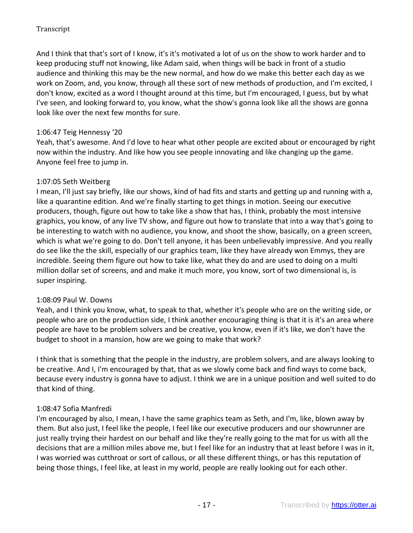And I think that that's sort of I know, it's it's motivated a lot of us on the show to work harder and to keep producing stuff not knowing, like Adam said, when things will be back in front of a studio audience and thinking this may be the new normal, and how do we make this better each day as we work on Zoom, and, you know, through all these sort of new methods of production, and I'm excited, I don't know, excited as a word I thought around at this time, but I'm encouraged, I guess, but by what I've seen, and looking forward to, you know, what the show's gonna look like all the shows are gonna look like over the next few months for sure.

# 1:06:47 Teig Hennessy '20

Yeah, that's awesome. And I'd love to hear what other people are excited about or encouraged by right now within the industry. And like how you see people innovating and like changing up the game. Anyone feel free to jump in.

# 1:07:05 Seth Weitberg

I mean, I'll just say briefly, like our shows, kind of had fits and starts and getting up and running with a, like a quarantine edition. And we're finally starting to get things in motion. Seeing our executive producers, though, figure out how to take like a show that has, I think, probably the most intensive graphics, you know, of any live TV show, and figure out how to translate that into a way that's going to be interesting to watch with no audience, you know, and shoot the show, basically, on a green screen, which is what we're going to do. Don't tell anyone, it has been unbelievably impressive. And you really do see like the the skill, especially of our graphics team, like they have already won Emmys, they are incredible. Seeing them figure out how to take like, what they do and are used to doing on a multi million dollar set of screens, and and make it much more, you know, sort of two dimensional is, is super inspiring.

# 1:08:09 Paul W. Downs

Yeah, and I think you know, what, to speak to that, whether it's people who are on the writing side, or people who are on the production side, I think another encouraging thing is that it is it's an area where people are have to be problem solvers and be creative, you know, even if it's like, we don't have the budget to shoot in a mansion, how are we going to make that work?

I think that is something that the people in the industry, are problem solvers, and are always looking to be creative. And I, I'm encouraged by that, that as we slowly come back and find ways to come back, because every industry is gonna have to adjust. I think we are in a unique position and well suited to do that kind of thing.

# 1:08:47 Sofia Manfredi

I'm encouraged by also, I mean, I have the same graphics team as Seth, and I'm, like, blown away by them. But also just, I feel like the people, I feel like our executive producers and our showrunner are just really trying their hardest on our behalf and like they're really going to the mat for us with all the decisions that are a million miles above me, but I feel like for an industry that at least before I was in it, I was worried was cutthroat or sort of callous, or all these different things, or has this reputation of being those things, I feel like, at least in my world, people are really looking out for each other.